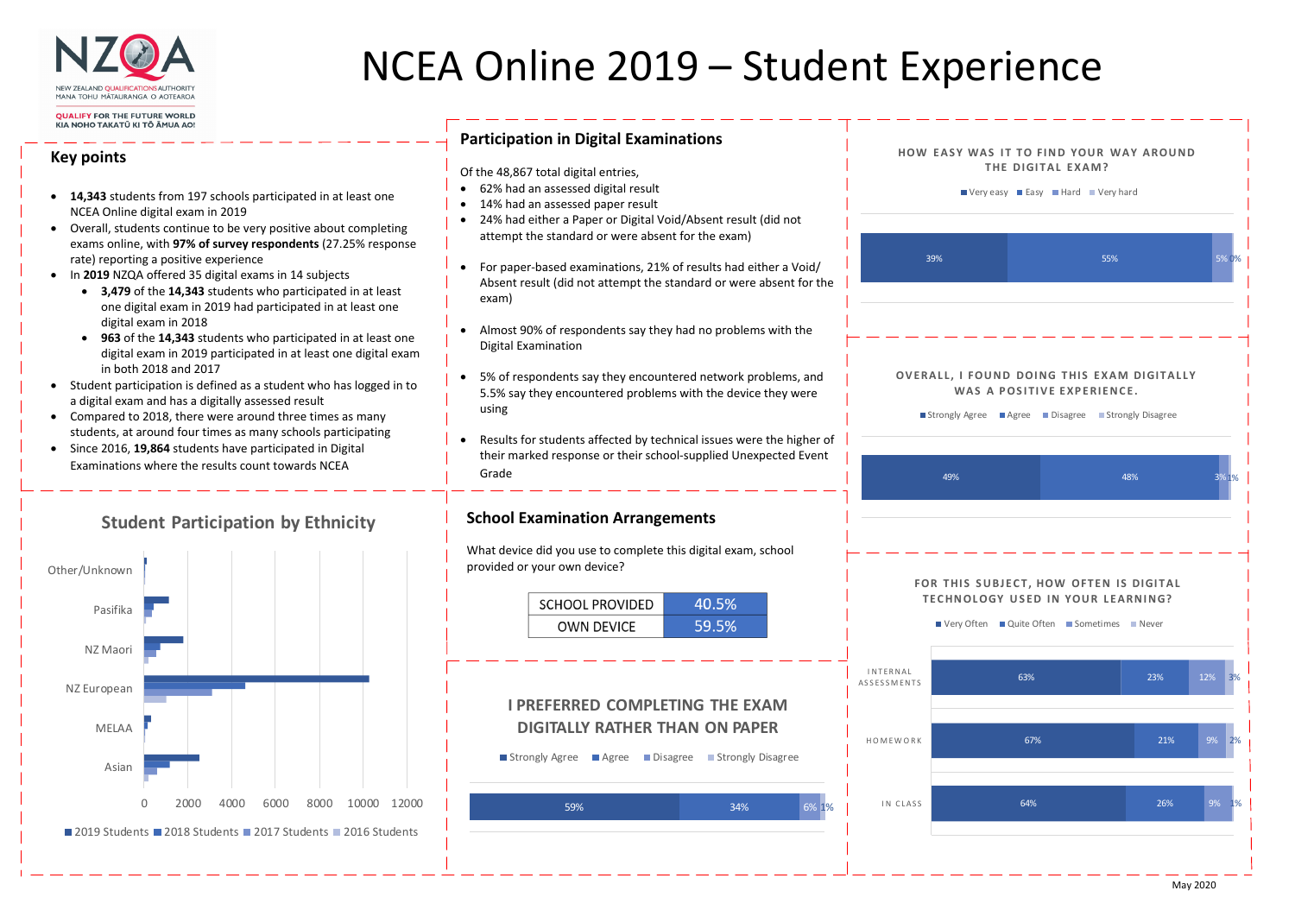

# NCEA Online 2019 – Student Expe

#### **QUALIFY FOR THE FUTURE WORLD** KIA NOHO TAKATŪ KI TŌ ĀMUA AO

### **Key points**

- **14,343** students from 197 schools participated in at least one NCEA Online digital exam in 2019
- Overall, students continue to be very positive about completing exams online, with **97% of survey respondents** (27.25% response rate) reporting a positive experience
- In **2019** NZQA offered 35 digital exams in 14 subjects
	- **3,479** of the **14,343** students who participated in at least one digital exam in 2019 had participated in at least one digital exam in 2018
	- **963** of the **14,343** students who participated in at least one digital exam in 2019 participated in at least one digital exam in both 2018 and 2017
- Student participation is defined as a student who has logged in to a digital exam and has a digitally assessed result
- Compared to 2018, there were around three times as many students, at around four times as many schools participating
- Since 2016, **19,864** students have participated in Digital Examinations where the results count towards NCEA

### **Participation in Digital Examinations**

|                             |     | THE DIGITAL EXAM?<br>Very easy Easy Hard Very hard    | <b>HOW EASY WAS IT TO FIND YOUR WAY AROUND</b>                                                        |                   |
|-----------------------------|-----|-------------------------------------------------------|-------------------------------------------------------------------------------------------------------|-------------------|
| 39%                         |     |                                                       | 55%                                                                                                   | 5% 0%             |
|                             |     | WAS A POSITIVE EXPERIENCE.                            | OVERALL, I FOUND DOING THIS EXAM DIGITALLY<br>■ Strongly Agree ■ Agree ■ Disagree ■ Strongly Disagree |                   |
|                             | 49% |                                                       | 48%                                                                                                   | 3%1%              |
|                             |     |                                                       |                                                                                                       |                   |
|                             |     | ■ Very Often ■ Quite Often ■ Sometimes ■ Never<br>63% | FOR THIS SUBJECT, HOW OFTEN IS DIGITAL<br><b>TECHNOLOGY USED IN YOUR LEARNING?</b><br>23%             | <b>12%</b>        |
| NAL<br><b>MENTS</b><br>WORK |     | 67%                                                   | 21%                                                                                                   | 3%<br>2%<br>$9\%$ |

- Of the 48,867 total digital entries,
- 62% had an assessed digital result
- 14% had an assessed paper result
- $\bullet$  24% had either a Paper or Digital Void/Absent result (did not attempt the standard or were absent for the exam)
- For paper‐based examinations, 21% of results had either a Void/ Absent result (did not attempt the standard or were absent for the exam)
- Almost 90% of respondents say they had no problems with the Digital Examination
- 5% of respondents say they encountered network problems, and 5.5% say they encountered problems with the device they were using
- $\bullet$  Results for students affected by technical issues were the higher of their marked response or their school‐supplied Unexpected Event Grade





### **School Examination Arrangements**

What device did you use to complete this digital exam, school provided or your own device?